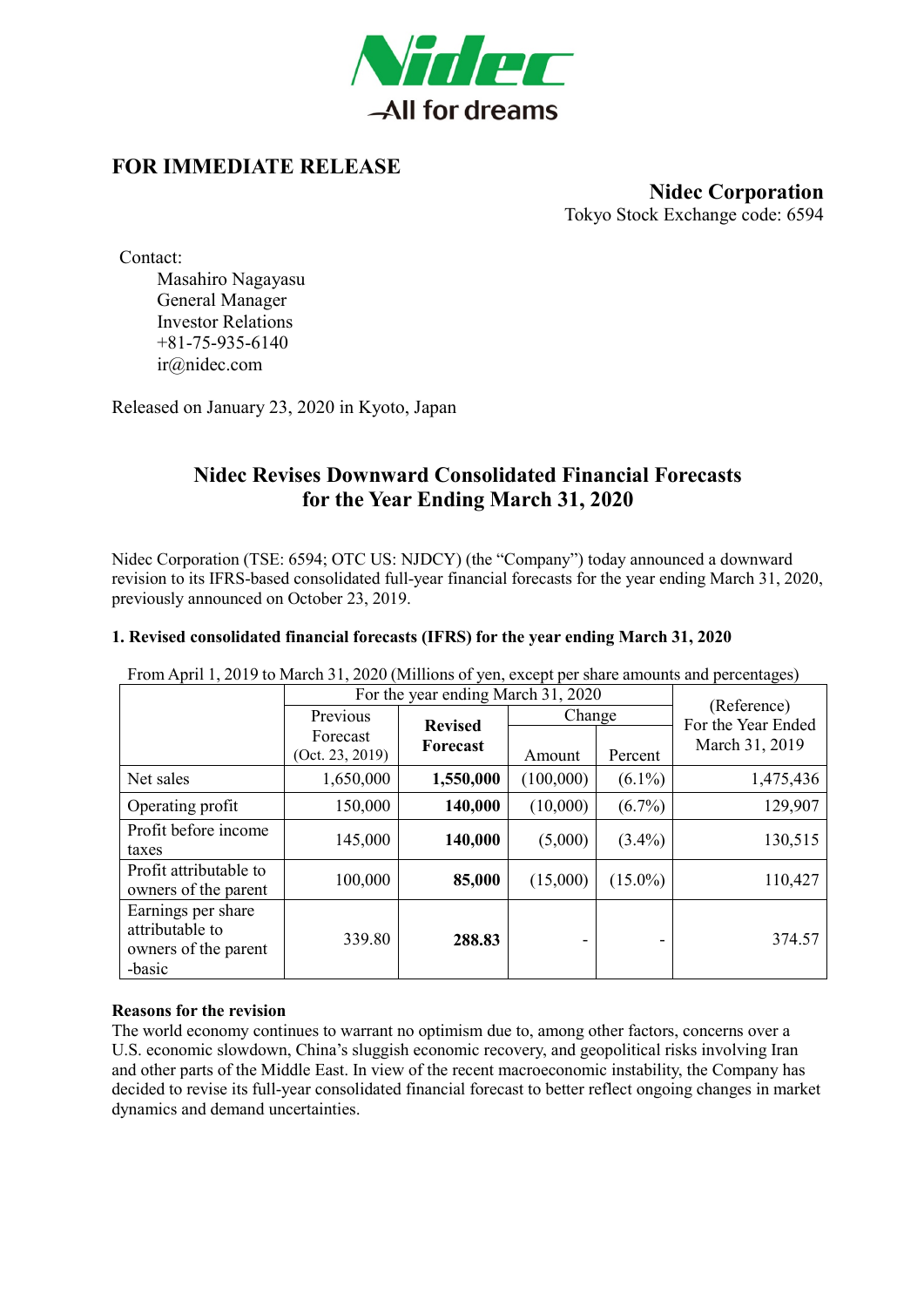

## **FOR IMMEDIATE RELEASE**

**Nidec Corporation** Tokyo Stock Exchange code: 6594

Contact:

Masahiro Nagayasu General Manager Investor Relations +81-75-935-6140 ir@nidec.com

Released on January 23, 2020 in Kyoto, Japan

## **Nidec Revises Downward Consolidated Financial Forecasts for the Year Ending March 31, 2020**

Nidec Corporation (TSE: 6594; OTC US: NJDCY) (the "Company") today announced a downward revision to its IFRS-based consolidated full-year financial forecasts for the year ending March 31, 2020, previously announced on October 23, 2019.

### **1. Revised consolidated financial forecasts (IFRS) for the year ending March 31, 2020**

| From April 1, 2019 to March 31, 2020 (Millions of yen, except per share amounts and percentages) |                                    |                |           |            |                                   |
|--------------------------------------------------------------------------------------------------|------------------------------------|----------------|-----------|------------|-----------------------------------|
|                                                                                                  | For the year ending March 31, 2020 |                |           |            |                                   |
|                                                                                                  | Previous                           | <b>Revised</b> | Change    |            | (Reference)<br>For the Year Ended |
|                                                                                                  | Forecast<br>(Oct. 23, 2019)        | Forecast       | Amount    | Percent    | March 31, 2019                    |
| Net sales                                                                                        | 1,650,000                          | 1,550,000      | (100,000) | $(6.1\%)$  | 1,475,436                         |
| Operating profit                                                                                 | 150,000                            | 140,000        | (10,000)  | $(6.7\%)$  | 129,907                           |
| Profit before income<br>taxes                                                                    | 145,000                            | 140,000        | (5,000)   | $(3.4\%)$  | 130,515                           |
| Profit attributable to<br>owners of the parent                                                   | 100,000                            | 85,000         | (15,000)  | $(15.0\%)$ | 110,427                           |
| Earnings per share<br>attributable to<br>owners of the parent<br>-basic                          | 339.80                             | 288.83         |           |            | 374.57                            |

From April 1, 2019 to March 31, 2020 (Millions of yen, except per share amounts and percentages)

#### **Reasons for the revision**

The world economy continues to warrant no optimism due to, among other factors, concerns over a U.S. economic slowdown, China's sluggish economic recovery, and geopolitical risks involving Iran and other parts of the Middle East. In view of the recent macroeconomic instability, the Company has decided to revise its full-year consolidated financial forecast to better reflect ongoing changes in market dynamics and demand uncertainties.